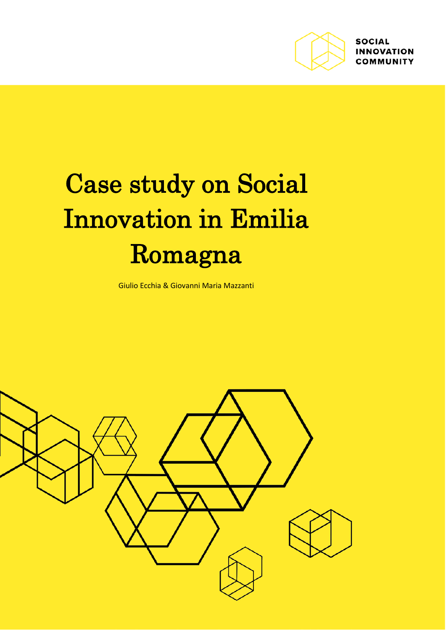

# Case study on Social Innovation in Emilia Romagna

Giulio Ecchia & Giovanni Maria Mazzanti

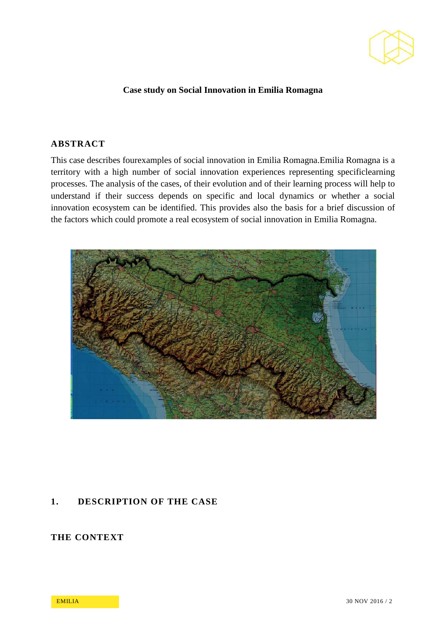

#### **Case study on Social Innovation in Emilia Romagna**

#### **ABSTRACT**

This case describes fourexamples of social innovation in Emilia Romagna.Emilia Romagna is a territory with a high number of social innovation experiences representing specificlearning processes. The analysis of the cases, of their evolution and of their learning process will help to understand if their success depends on specific and local dynamics or whether a social innovation ecosystem can be identified. This provides also the basis for a brief discussion of the factors which could promote a real ecosystem of social innovation in Emilia Romagna.



#### **1. DESCRIPTION OF THE CASE**

# **THE CONTEXT**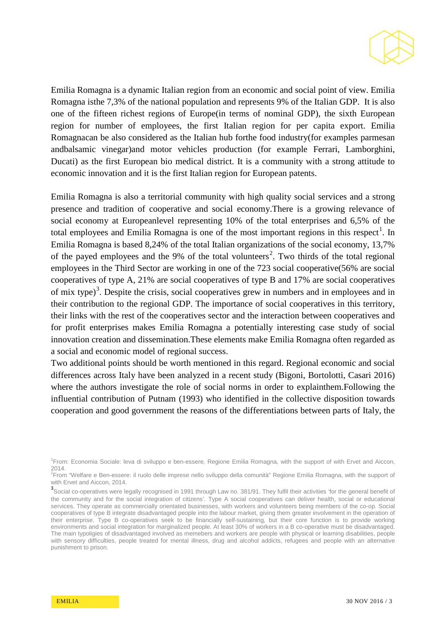

Emilia Romagna is a dynamic Italian region from an economic and social point of view. Emilia Romagna isthe 7,3% of the national population and represents 9% of the Italian GDP. It is also one of the fifteen richest regions of Europe(in terms of nominal GDP), the sixth European region for number of employees, the first Italian region for per capita export. Emilia Romagnacan be also considered as the Italian hub forthe food industry(for examples parmesan andbalsamic vinegar)and motor vehicles production (for example Ferrari, Lamborghini, Ducati) as the first European bio medical district. It is a community with a strong attitude to economic innovation and it is the first Italian region for European patents.

Emilia Romagna is also a territorial community with high quality social services and a strong presence and tradition of cooperative and social economy.There is a growing relevance of social economy at Europeanlevel representing 10% of the total enterprises and 6,5% of the total employees and Emilia Romagna is one of the most important regions in this respect<sup>[1](#page-2-0)</sup>. In Emilia Romagna is based 8,24% of the total Italian organizations of the social economy, 13,7% of the payed employees and the 9% of the total volunteers<sup>[2](#page-2-1)</sup>. Two thirds of the total regional employees in the Third Sector are working in one of the 723 social cooperative(56% are social cooperatives of type A, 21% are social cooperatives of type B and 17% are social cooperatives of mix type)<sup>[3](#page-2-2)</sup>. Despite the crisis, social cooperatives grew in numbers and in employees and in their contribution to the regional GDP. The importance of social cooperatives in this territory, their links with the rest of the cooperatives sector and the interaction between cooperatives and for profit enterprises makes Emilia Romagna a potentially interesting case study of social innovation creation and dissemination.These elements make Emilia Romagna often regarded as a social and economic model of regional success.

Two additional points should be worth mentioned in this regard. Regional economic and social differences across Italy have been analyzed in a recent study (Bigoni, Bortolotti, Casari 2016) where the authors investigate the role of social norms in order to explainthem.Following the influential contribution of Putnam (1993) who identified in the collective disposition towards cooperation and good government the reasons of the differentiations between parts of Italy, the

<span id="page-2-0"></span><sup>1</sup> From: Economia Sociale: leva di sviluppo e ben-essere, Regione Emilia Romagna, with the support of with Ervet and Aiccon, 2014.

<span id="page-2-1"></span><sup>2</sup> From "Welfare e Ben-essere: il ruolo delle imprese nello sviluppo della comunità" Regione Emilia Romagna, with the support of with Ervet and Aiccon, 2014.

<span id="page-2-2"></span><sup>&</sup>lt;sup>3</sup> Social co-operatives were legally recognised in 1991 through Law no. 381/91. They fulfil their activities 'for the general benefit of the community and for the social integration of citizens'. Type A social cooperatives can deliver health, social or educational services. They operate as commercially orientated businesses, with workers and volunteers being members of the co-op. Social cooperatives of type B integrate disadvantaged people into the labour market, giving them greater involvement in the operation of their enterprise. Type B co-operatives seek to be financially self-sustaining, but their core function is to provide working environments and social integration for marginalized people. At least 30% of workers in a B co-operative must be disadvantaged. The main typoligies of disadvantaged involved as memebers and workers are people with physical or learning disabilities, people with sensory difficulties, people treated for mental illness, drug and alcohol addicts, refugees and people with an alternative punishment to prison.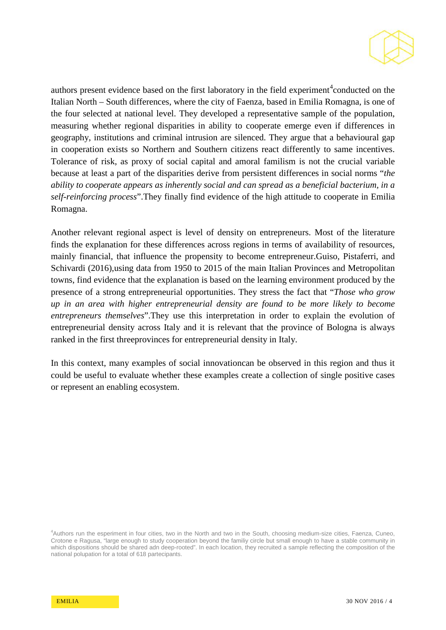

authors present evidence based on the first laboratory in the field experiment<sup>[4](#page-3-0)</sup> conducted on the Italian North – South differences, where the city of Faenza, based in Emilia Romagna, is one of the four selected at national level. They developed a representative sample of the population, measuring whether regional disparities in ability to cooperate emerge even if differences in geography, institutions and criminal intrusion are silenced. They argue that a behavioural gap in cooperation exists so Northern and Southern citizens react differently to same incentives. Tolerance of risk, as proxy of social capital and amoral familism is not the crucial variable because at least a part of the disparities derive from persistent differences in social norms "*the ability to cooperate appears as inherently social and can spread as a beneficial bacterium, in a self-reinforcing process*".They finally find evidence of the high attitude to cooperate in Emilia Romagna.

Another relevant regional aspect is level of density on entrepreneurs. Most of the literature finds the explanation for these differences across regions in terms of availability of resources, mainly financial, that influence the propensity to become entrepreneur.Guiso, Pistaferri, and Schivardi (2016),using data from 1950 to 2015 of the main Italian Provinces and Metropolitan towns, find evidence that the explanation is based on the learning environment produced by the presence of a strong entrepreneurial opportunities. They stress the fact that "*Those who grow up in an area with higher entrepreneurial density are found to be more likely to become entrepreneurs themselves*".They use this interpretation in order to explain the evolution of entrepreneurial density across Italy and it is relevant that the province of Bologna is always ranked in the first threeprovinces for entrepreneurial density in Italy.

In this context, many examples of social innovationcan be observed in this region and thus it could be useful to evaluate whether these examples create a collection of single positive cases or represent an enabling ecosystem.

<span id="page-3-0"></span><sup>4</sup> Authors run the esperiment in four cities, two in the North and two in the South, choosing medium-size cities, Faenza, Cuneo, Crotone e Ragusa, "large enough to study cooperation beyond the familiy circle but small enough to have a stable community in which dispositions should be shared adn deep-rooted". In each location, they recruited a sample reflecting the composition of the national polupation for a total of 618 partecipants.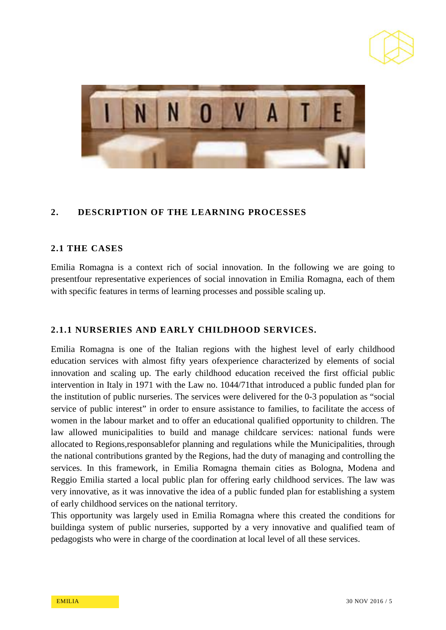



## **2. DESCRIPTION OF THE LEARNING PROCESSES**

#### **2.1 THE CASES**

Emilia Romagna is a context rich of social innovation. In the following we are going to presentfour representative experiences of social innovation in Emilia Romagna, each of them with specific features in terms of learning processes and possible scaling up.

## **2.1.1 NURSERIES AND EARLY CHILDHOOD SERVICES.**

Emilia Romagna is one of the Italian regions with the highest level of early childhood education services with almost fifty years ofexperience characterized by elements of social innovation and scaling up. The early childhood education received the first official public intervention in Italy in 1971 with the Law no. 1044/71that introduced a public funded plan for the institution of public nurseries. The services were delivered for the 0-3 population as "social service of public interest" in order to ensure assistance to families, to facilitate the access of women in the labour market and to offer an educational qualified opportunity to children. The law allowed municipalities to build and manage childcare services: national funds were allocated to Regions,responsablefor planning and regulations while the Municipalities, through the national contributions granted by the Regions, had the duty of managing and controlling the services. In this framework, in Emilia Romagna themain cities as Bologna, Modena and Reggio Emilia started a local public plan for offering early childhood services. The law was very innovative, as it was innovative the idea of a public funded plan for establishing a system of early childhood services on the national territory.

This opportunity was largely used in Emilia Romagna where this created the conditions for buildinga system of public nurseries, supported by a very innovative and qualified team of pedagogists who were in charge of the coordination at local level of all these services.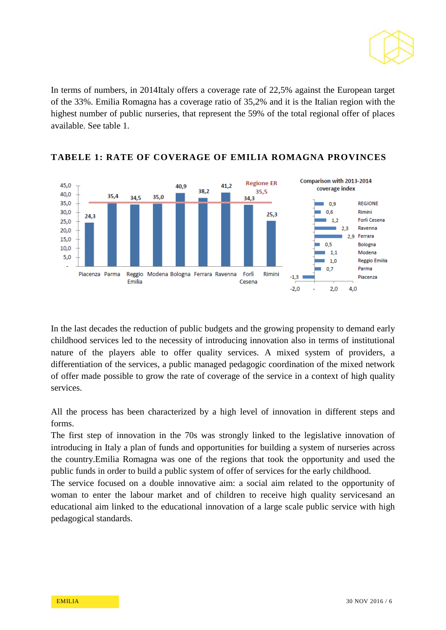

In terms of numbers, in 2014Italy offers a coverage rate of 22,5% against the European target of the 33%. Emilia Romagna has a coverage ratio of 35,2% and it is the Italian region with the highest number of public nurseries, that represent the 59% of the total regional offer of places available. See table 1.



## **TABELE 1: RATE OF COVERAGE OF EMILIA ROMAGNA PROVINCES**

In the last decades the reduction of public budgets and the growing propensity to demand early childhood services led to the necessity of introducing innovation also in terms of institutional nature of the players able to offer quality services. A mixed system of providers, a differentiation of the services, a public managed pedagogic coordination of the mixed network of offer made possible to grow the rate of coverage of the service in a context of high quality services.

All the process has been characterized by a high level of innovation in different steps and forms.

The first step of innovation in the 70s was strongly linked to the legislative innovation of introducing in Italy a plan of funds and opportunities for building a system of nurseries across the country.Emilia Romagna was one of the regions that took the opportunity and used the public funds in order to build a public system of offer of services for the early childhood.

The service focused on a double innovative aim: a social aim related to the opportunity of woman to enter the labour market and of children to receive high quality servicesand an educational aim linked to the educational innovation of a large scale public service with high pedagogical standards.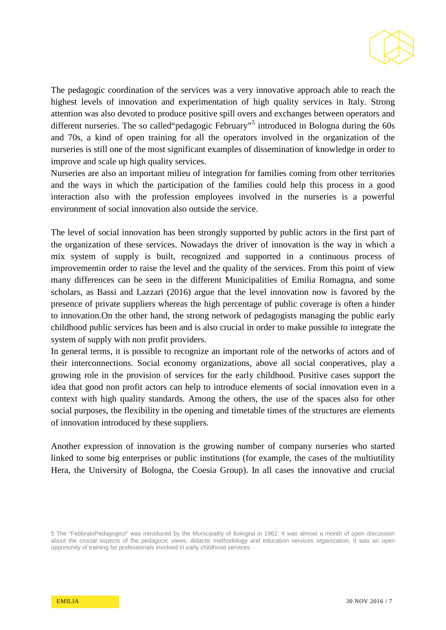

The pedagogic coordination of the services was a very innovative approach able to reach the highest levels of innovation and experimentation of high quality services in Italy. Strong attention was also devoted to produce positive spill overs and exchanges between operators and different nurseries. The so called "pedagogic February"<sup>[5](#page-6-0)</sup> introduced in Bologna during the 60s and 70s, a kind of open training for all the operators involved in the organization of the nurseries is still one of the most significant examples of dissemination of knowledge in order to improve and scale up high quality services.

Nurseries are also an important milieu of integration for families coming from other territories and the ways in which the participation of the families could help this process in a good interaction also with the profession employees involved in the nurseries is a powerful environment of social innovation also outside the service.

The level of social innovation has been strongly supported by public actors in the first part of the organization of these services. Nowadays the driver of innovation is the way in which a mix system of supply is built, recognized and supported in a continuous process of improvementin order to raise the level and the quality of the services. From this point of view many differences can be seen in the different Municipalities of Emilia Romagna, and some scholars, as Bassi and Lazzari (2016) argue that the level innovation now is favored by the presence of private suppliers whereas the high percentage of public coverage is often a hinder to innovation.On the other hand, the strong network of pedagogists managing the public early childhood public services has been and is also crucial in order to make possible to integrate the system of supply with non profit providers.

In general terms, it is possible to recognize an important role of the networks of actors and of their interconnections. Social economy organizations, above all social cooperatives, play a growing role in the provision of services for the early childhood. Positive cases support the idea that good non profit actors can help to introduce elements of social innovation even in a context with high quality standards. Among the others, the use of the spaces also for other social purposes, the flexibility in the opening and timetable times of the structures are elements of innovation introduced by these suppliers.

Another expression of innovation is the growing number of company nurseries who started linked to some big enterprises or public institutions (for example, the cases of the multiutility Hera, the University of Bologna, the Coesia Group). In all cases the innovative and crucial

<span id="page-6-0"></span><sup>5</sup> The "FebbraioPedagogico" was introduced by the Municipality of Bologna in 1962. It was almost a month of open discussion about the crucial aspects of the pedagocic views, didactic methodology and education services organization, It was an open opportunity of training for professionals involved in early childhood services.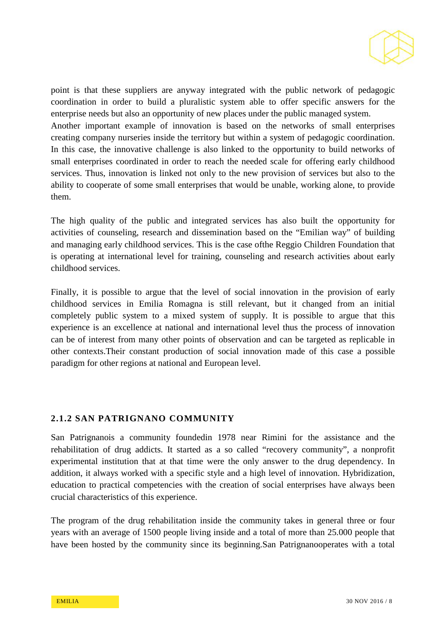

point is that these suppliers are anyway integrated with the public network of pedagogic coordination in order to build a pluralistic system able to offer specific answers for the enterprise needs but also an opportunity of new places under the public managed system. Another important example of innovation is based on the networks of small enterprises creating company nurseries inside the territory but within a system of pedagogic coordination. In this case, the innovative challenge is also linked to the opportunity to build networks of small enterprises coordinated in order to reach the needed scale for offering early childhood services. Thus, innovation is linked not only to the new provision of services but also to the ability to cooperate of some small enterprises that would be unable, working alone, to provide them.

The high quality of the public and integrated services has also built the opportunity for activities of counseling, research and dissemination based on the "Emilian way" of building and managing early childhood services. This is the case ofthe Reggio Children Foundation that is operating at international level for training, counseling and research activities about early childhood services.

Finally, it is possible to argue that the level of social innovation in the provision of early childhood services in Emilia Romagna is still relevant, but it changed from an initial completely public system to a mixed system of supply. It is possible to argue that this experience is an excellence at national and international level thus the process of innovation can be of interest from many other points of observation and can be targeted as replicable in other contexts.Their constant production of social innovation made of this case a possible paradigm for other regions at national and European level.

## **2.1.2 SAN PATRIGNANO COMMUNITY**

San Patrignanois a community foundedin 1978 near Rimini for the assistance and the rehabilitation of drug addicts. It started as a so called "recovery community", a nonprofit experimental institution that at that time were the only answer to the drug dependency. In addition, it always worked with a specific style and a high level of innovation. Hybridization, education to practical competencies with the creation of social enterprises have always been crucial characteristics of this experience.

The program of the drug rehabilitation inside the community takes in general three or four years with an average of 1500 people living inside and a total of more than 25.000 people that have been hosted by the community since its beginning.San Patrignanooperates with a total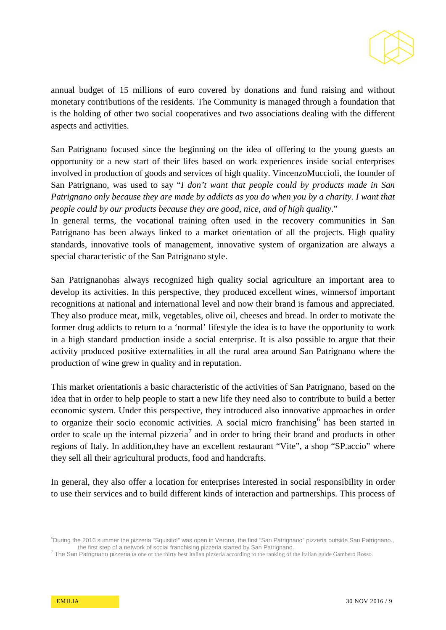

annual budget of 15 millions of euro covered by donations and fund raising and without monetary contributions of the residents. The Community is managed through a foundation that is the holding of other two social cooperatives and two associations dealing with the different aspects and activities.

San Patrignano focused since the beginning on the idea of offering to the young guests an opportunity or a new start of their lifes based on work experiences inside social enterprises involved in production of goods and services of high quality. VincenzoMuccioli, the founder of San Patrignano, was used to say "*I don't want that people could by products made in San Patrignano only because they are made by addicts as you do when you by a charity. I want that people could by our products because they are good, nice, and of high quality*."

In general terms, the vocational training often used in the recovery communities in San Patrignano has been always linked to a market orientation of all the projects. High quality standards, innovative tools of management, innovative system of organization are always a special characteristic of the San Patrignano style.

San Patrignanohas always recognized high quality social agriculture an important area to develop its activities. In this perspective, they produced excellent wines, winnersof important recognitions at national and international level and now their brand is famous and appreciated. They also produce meat, milk, vegetables, olive oil, cheeses and bread. In order to motivate the former drug addicts to return to a 'normal' lifestyle the idea is to have the opportunity to work in a high standard production inside a social enterprise. It is also possible to argue that their activity produced positive externalities in all the rural area around San Patrignano where the production of wine grew in quality and in reputation.

This market orientationis a basic characteristic of the activities of San Patrignano, based on the idea that in order to help people to start a new life they need also to contribute to build a better economic system. Under this perspective, they introduced also innovative approaches in order to organize their socio economic activities. A social micro franchising<sup>[6](#page-8-0)</sup> has been started in order to scale up the internal pizzeria<sup>[7](#page-8-0)</sup> and in order to bring their brand and products in other regions of Italy. In addition,they have an excellent restaurant "Vite", a shop "SP.accio" where they sell all their agricultural products, food and handcrafts.

In general, they also offer a location for enterprises interested in social responsibility in order to use their services and to build different kinds of interaction and partnerships. This process of

<sup>&</sup>lt;sup>6</sup>During the 2016 summer the pizzeria "Squisito!" was open in Verona, the first "San Patrignano" pizzeria outside San Patrignano.,

<span id="page-8-0"></span>the first step of a network of social franchising pizzeria started by San Patrignano.<br><sup>7</sup> The San Patrignano pizzeria is one of the thirty best Italian pizzeria according to the ranking of the Italian guide Gambero Rosso.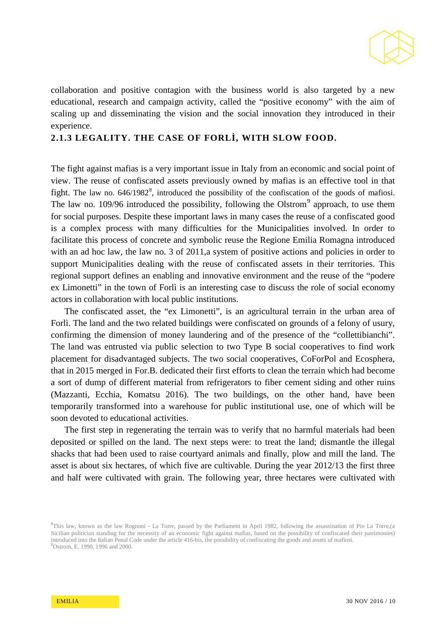

collaboration and positive contagion with the business world is also targeted by a new educational, research and campaign activity, called the "positive economy" with the aim of scaling up and disseminating the vision and the social innovation they introduced in their experience.

## **2.1.3 LEGALITY. THE CASE OF FORLÌ, WITH SLOW FOOD.**

The fight against mafias is a very important issue in Italy from an economic and social point of view. The reuse of confiscated assets previously owned by mafias is an effective tool in that fight. The law no.  $646/1982^8$  $646/1982^8$  $646/1982^8$ , introduced the possibility of the confiscation of the goods of mafiosi. The law no. 10[9](#page-9-0)/96 introduced the possibility, following the Olstrom<sup>9</sup> approach, to use them for social purposes. Despite these important laws in many cases the reuse of a confiscated good is a complex process with many difficulties for the Municipalities involved. In order to facilitate this process of concrete and symbolic reuse the Regione Emilia Romagna introduced with an ad hoc law, the law no. 3 of 2011, a system of positive actions and policies in order to support Municipalities dealing with the reuse of confiscated assets in their territories. This regional support defines an enabling and innovative environment and the reuse of the "podere ex Limonetti" in the town of Forlì is an interesting case to discuss the role of social economy actors in collaboration with local public institutions.

The confiscated asset, the "ex Limonetti", is an agricultural terrain in the urban area of Forlì. The land and the two related buildings were confiscated on grounds of a felony of usury, confirming the dimension of money laundering and of the presence of the "collettibianchi". The land was entrusted via public selection to two Type B social cooperatives to find work placement for disadvantaged subjects. The two social cooperatives, CoForPol and Ecosphera, that in 2015 merged in For.B. dedicated their first efforts to clean the terrain which had become a sort of dump of different material from refrigerators to fiber cement siding and other ruins (Mazzanti, Ecchia, Komatsu 2016). The two buildings, on the other hand, have been temporarily transformed into a warehouse for public institutional use, one of which will be soon devoted to educational activities.

The first step in regenerating the terrain was to verify that no harmful materials had been deposited or spilled on the land. The next steps were: to treat the land; dismantle the illegal shacks that had been used to raise courtyard animals and finally, plow and mill the land. The asset is about six hectares, of which five are cultivable. During the year 2012/13 the first three and half were cultivated with grain. The following year, three hectares were cultivated with

<span id="page-9-0"></span><sup>&</sup>lt;sup>8</sup>This law, known as the law Rognoni - La Torre, passed by the Parliament in April 1982, following the assassination of Pio La Torre,(a Sicilian politician standing for the necessity of an economic fight against mafias, based on the possibility of confiscated their patrimonies) introduced into the Italian Penal Code under the article 416-bis, the possibility of confiscating the goods and assets of mafiosi. <sup>9</sup> <sup>9</sup>Ostrom, E. 1990, 1996 and 2000.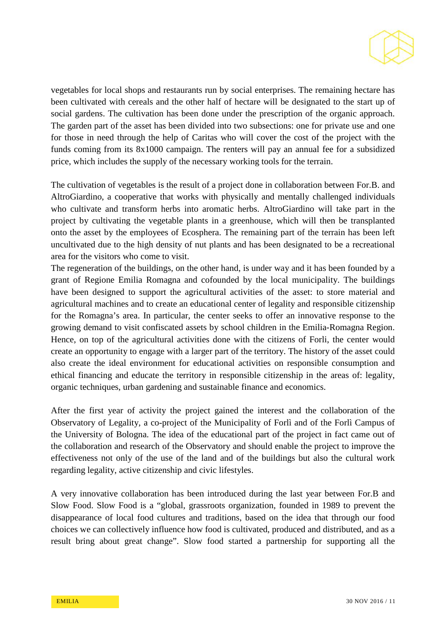

vegetables for local shops and restaurants run by social enterprises. The remaining hectare has been cultivated with cereals and the other half of hectare will be designated to the start up of social gardens. The cultivation has been done under the prescription of the organic approach. The garden part of the asset has been divided into two subsections: one for private use and one for those in need through the help of Caritas who will cover the cost of the project with the funds coming from its 8x1000 campaign. The renters will pay an annual fee for a subsidized price, which includes the supply of the necessary working tools for the terrain.

The cultivation of vegetables is the result of a project done in collaboration between For.B. and AltroGiardino, a cooperative that works with physically and mentally challenged individuals who cultivate and transform herbs into aromatic herbs. AltroGiardino will take part in the project by cultivating the vegetable plants in a greenhouse, which will then be transplanted onto the asset by the employees of Ecosphera. The remaining part of the terrain has been left uncultivated due to the high density of nut plants and has been designated to be a recreational area for the visitors who come to visit.

The regeneration of the buildings, on the other hand, is under way and it has been founded by a grant of Regione Emilia Romagna and cofounded by the local municipality. The buildings have been designed to support the agricultural activities of the asset: to store material and agricultural machines and to create an educational center of legality and responsible citizenship for the Romagna's area. In particular, the center seeks to offer an innovative response to the growing demand to visit confiscated assets by school children in the Emilia-Romagna Region. Hence, on top of the agricultural activities done with the citizens of Forli, the center would create an opportunity to engage with a larger part of the territory. The history of the asset could also create the ideal environment for educational activities on responsible consumption and ethical financing and educate the territory in responsible citizenship in the areas of: legality, organic techniques, urban gardening and sustainable finance and economics.

After the first year of activity the project gained the interest and the collaboration of the Observatory of Legality, a co-project of the Municipality of Forlì and of the Forlì Campus of the University of Bologna. The idea of the educational part of the project in fact came out of the collaboration and research of the Observatory and should enable the project to improve the effectiveness not only of the use of the land and of the buildings but also the cultural work regarding legality, active citizenship and civic lifestyles.

A very innovative collaboration has been introduced during the last year between For.B and Slow Food. Slow Food is a "global, grassroots organization, founded in 1989 to prevent the disappearance of local food cultures and traditions, based on the idea that through our food choices we can collectively influence how food is cultivated, produced and distributed, and as a result bring about great change". Slow food started a partnership for supporting all the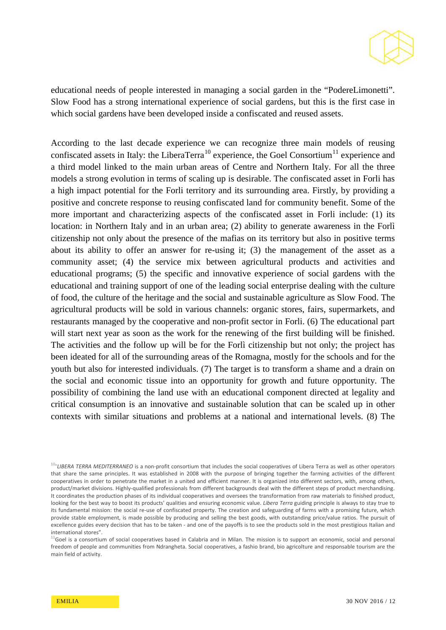

educational needs of people interested in managing a social garden in the "PodereLimonetti". Slow Food has a strong international experience of social gardens, but this is the first case in which social gardens have been developed inside a confiscated and reused assets.

According to the last decade experience we can recognize three main models of reusing confiscated assets in Italy: the LiberaTerra<sup>[10](#page-11-0)</sup> experience, the Goel Consortium<sup>[11](#page-11-0)</sup> experience and a third model linked to the main urban areas of Centre and Northern Italy. For all the three models a strong evolution in terms of scaling up is desirable. The confiscated asset in Forli has a high impact potential for the Forli territory and its surrounding area. Firstly, by providing a positive and concrete response to reusing confiscated land for community benefit. Some of the more important and characterizing aspects of the confiscated asset in Forli include: (1) its location: in Northern Italy and in an urban area; (2) ability to generate awareness in the Forlì citizenship not only about the presence of the mafias on its territory but also in positive terms about its ability to offer an answer for re-using it; (3) the management of the asset as a community asset; (4) the service mix between agricultural products and activities and educational programs; (5) the specific and innovative experience of social gardens with the educational and training support of one of the leading social enterprise dealing with the culture of food, the culture of the heritage and the social and sustainable agriculture as Slow Food. The agricultural products will be sold in various channels: organic stores, fairs, supermarkets, and restaurants managed by the cooperative and non-profit sector in Forli. (6) The educational part will start next year as soon as the work for the renewing of the first building will be finished. The activities and the follow up will be for the Forlì citizenship but not only; the project has been ideated for all of the surrounding areas of the Romagna, mostly for the schools and for the youth but also for interested individuals. (7) The target is to transform a shame and a drain on the social and economic tissue into an opportunity for growth and future opportunity. The possibility of combining the land use with an educational component directed at legality and critical consumption is an innovative and sustainable solution that can be scaled up in other contexts with similar situations and problems at a national and international levels. (8) The

<span id="page-11-0"></span><sup>&</sup>lt;sup>10</sup>"LIBERA TERRA MEDITERRANEO is a non-profit consortium that includes the social cooperatives of Libera Terra as well as other operators that share the same principles. It was established in 2008 with the purpose of bringing together the farming activities of the different cooperatives in order to penetrate the market in a united and efficient manner. It is organized into different sectors, with, among others, product/market divisions. Highly-qualified professionals from different backgrounds deal with the different steps of product merchandising. It coordinates the production phases of its individual cooperatives and oversees the transformation from raw materials to finished product, looking for the best way to boost its products' qualities and ensuring economic value. *Libera Terra* guiding principle is always to stay true to its fundamental mission: the social re-use of confiscated property. The creation and safeguarding of farms with a promising future, which provide stable employment, is made possible by producing and selling the best goods, with outstanding price/value ratios. The pursuit of excellence guides every decision that has to be taken - and one of the payoffs is to see the products sold in the most prestigious Italian and international stores".

 $^{11}$ Goel is a consortium of social cooperatives based in Calabria and in Milan. The mission is to support an economic, social and personal freedom of people and communities from Ndrangheta. Social cooperatives, a fashio brand, bio agricolture and responsable tourism are the main field of activity.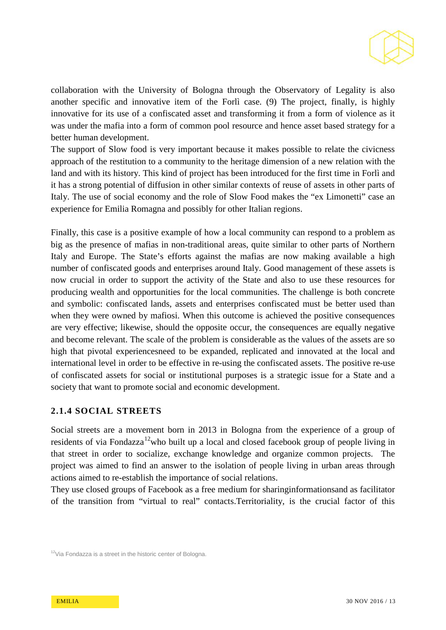

collaboration with the University of Bologna through the Observatory of Legality is also another specific and innovative item of the Forlì case. (9) The project, finally, is highly innovative for its use of a confiscated asset and transforming it from a form of violence as it was under the mafia into a form of common pool resource and hence asset based strategy for a better human development.

The support of Slow food is very important because it makes possible to relate the civicness approach of the restitution to a community to the heritage dimension of a new relation with the land and with its history. This kind of project has been introduced for the first time in Forlì and it has a strong potential of diffusion in other similar contexts of reuse of assets in other parts of Italy. The use of social economy and the role of Slow Food makes the "ex Limonetti" case an experience for Emilia Romagna and possibly for other Italian regions.

Finally, this case is a positive example of how a local community can respond to a problem as big as the presence of mafias in non-traditional areas, quite similar to other parts of Northern Italy and Europe. The State's efforts against the mafias are now making available a high number of confiscated goods and enterprises around Italy. Good management of these assets is now crucial in order to support the activity of the State and also to use these resources for producing wealth and opportunities for the local communities. The challenge is both concrete and symbolic: confiscated lands, assets and enterprises confiscated must be better used than when they were owned by mafiosi. When this outcome is achieved the positive consequences are very effective; likewise, should the opposite occur, the consequences are equally negative and become relevant. The scale of the problem is considerable as the values of the assets are so high that pivotal experiencesneed to be expanded, replicated and innovated at the local and international level in order to be effective in re-using the confiscated assets. The positive re-use of confiscated assets for social or institutional purposes is a strategic issue for a State and a society that want to promote social and economic development.

## **2.1.4 SOCIAL STREETS**

Social streets are a movement born in 2013 in Bologna from the experience of a group of residents of via Fondazza<sup>[12](#page-12-0)</sup>who built up a local and closed facebook group of people living in that street in order to socialize, exchange knowledge and organize common projects. The project was aimed to find an answer to the isolation of people living in urban areas through actions aimed to re-establish the importance of social relations.

They use closed groups of Facebook as a free medium for sharinginformationsand as facilitator of the transition from "virtual to real" contacts.Territoriality, is the crucial factor of this

<span id="page-12-0"></span> $12$ Via Fondazza is a street in the historic center of Bologna.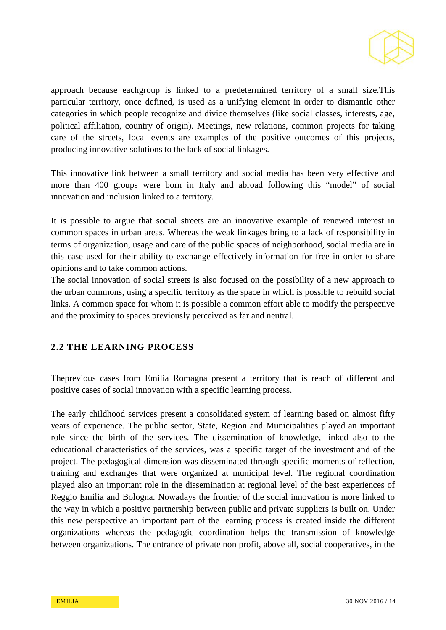

approach because eachgroup is linked to a predetermined territory of a small size.This particular territory, once defined, is used as a unifying element in order to dismantle other categories in which people recognize and divide themselves (like social classes, interests, age, political affiliation, country of origin). Meetings, new relations, common projects for taking care of the streets, local events are examples of the positive outcomes of this projects, producing innovative solutions to the lack of social linkages.

This innovative link between a small territory and social media has been very effective and more than 400 groups were born in Italy and abroad following this "model" of social innovation and inclusion linked to a territory.

It is possible to argue that social streets are an innovative example of renewed interest in common spaces in urban areas. Whereas the weak linkages bring to a lack of responsibility in terms of organization, usage and care of the public spaces of neighborhood, social media are in this case used for their ability to exchange effectively information for free in order to share opinions and to take common actions.

The social innovation of social streets is also focused on the possibility of a new approach to the urban commons, using a specific territory as the space in which is possible to rebuild social links. A common space for whom it is possible a common effort able to modify the perspective and the proximity to spaces previously perceived as far and neutral.

## **2.2 THE LEARNING PROCESS**

Theprevious cases from Emilia Romagna present a territory that is reach of different and positive cases of social innovation with a specific learning process.

The early childhood services present a consolidated system of learning based on almost fifty years of experience. The public sector, State, Region and Municipalities played an important role since the birth of the services. The dissemination of knowledge, linked also to the educational characteristics of the services, was a specific target of the investment and of the project. The pedagogical dimension was disseminated through specific moments of reflection, training and exchanges that were organized at municipal level. The regional coordination played also an important role in the dissemination at regional level of the best experiences of Reggio Emilia and Bologna. Nowadays the frontier of the social innovation is more linked to the way in which a positive partnership between public and private suppliers is built on. Under this new perspective an important part of the learning process is created inside the different organizations whereas the pedagogic coordination helps the transmission of knowledge between organizations. The entrance of private non profit, above all, social cooperatives, in the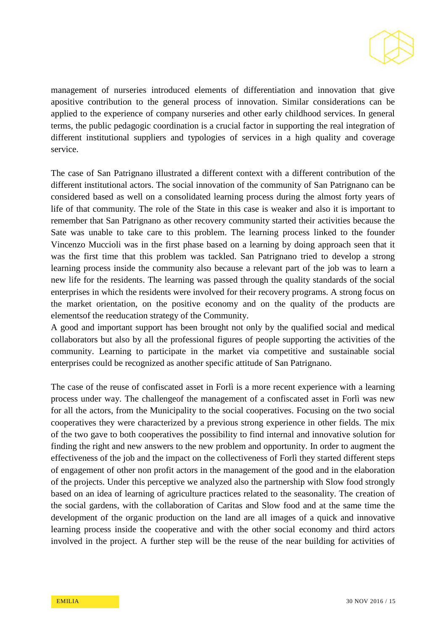

management of nurseries introduced elements of differentiation and innovation that give apositive contribution to the general process of innovation. Similar considerations can be applied to the experience of company nurseries and other early childhood services. In general terms, the public pedagogic coordination is a crucial factor in supporting the real integration of different institutional suppliers and typologies of services in a high quality and coverage service.

The case of San Patrignano illustrated a different context with a different contribution of the different institutional actors. The social innovation of the community of San Patrignano can be considered based as well on a consolidated learning process during the almost forty years of life of that community. The role of the State in this case is weaker and also it is important to remember that San Patrignano as other recovery community started their activities because the Sate was unable to take care to this problem. The learning process linked to the founder Vincenzo Muccioli was in the first phase based on a learning by doing approach seen that it was the first time that this problem was tackled. San Patrignano tried to develop a strong learning process inside the community also because a relevant part of the job was to learn a new life for the residents. The learning was passed through the quality standards of the social enterprises in which the residents were involved for their recovery programs. A strong focus on the market orientation, on the positive economy and on the quality of the products are elementsof the reeducation strategy of the Community.

A good and important support has been brought not only by the qualified social and medical collaborators but also by all the professional figures of people supporting the activities of the community. Learning to participate in the market via competitive and sustainable social enterprises could be recognized as another specific attitude of San Patrignano.

The case of the reuse of confiscated asset in Forlì is a more recent experience with a learning process under way. The challengeof the management of a confiscated asset in Forlì was new for all the actors, from the Municipality to the social cooperatives. Focusing on the two social cooperatives they were characterized by a previous strong experience in other fields. The mix of the two gave to both cooperatives the possibility to find internal and innovative solution for finding the right and new answers to the new problem and opportunity. In order to augment the effectiveness of the job and the impact on the collectiveness of Forlì they started different steps of engagement of other non profit actors in the management of the good and in the elaboration of the projects. Under this perceptive we analyzed also the partnership with Slow food strongly based on an idea of learning of agriculture practices related to the seasonality. The creation of the social gardens, with the collaboration of Caritas and Slow food and at the same time the development of the organic production on the land are all images of a quick and innovative learning process inside the cooperative and with the other social economy and third actors involved in the project. A further step will be the reuse of the near building for activities of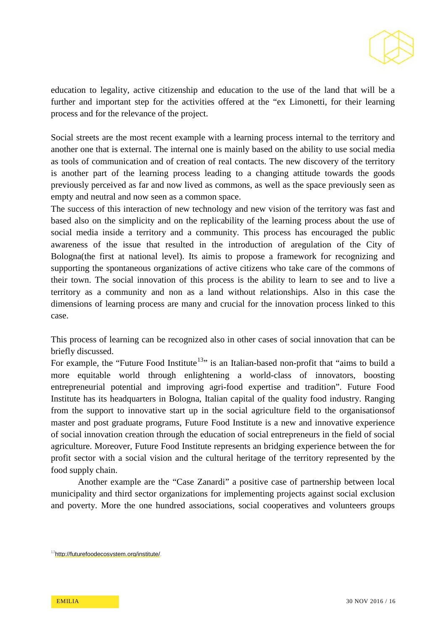

education to legality, active citizenship and education to the use of the land that will be a further and important step for the activities offered at the "ex Limonetti, for their learning process and for the relevance of the project.

Social streets are the most recent example with a learning process internal to the territory and another one that is external. The internal one is mainly based on the ability to use social media as tools of communication and of creation of real contacts. The new discovery of the territory is another part of the learning process leading to a changing attitude towards the goods previously perceived as far and now lived as commons, as well as the space previously seen as empty and neutral and now seen as a common space.

The success of this interaction of new technology and new vision of the territory was fast and based also on the simplicity and on the replicability of the learning process about the use of social media inside a territory and a community. This process has encouraged the public awareness of the issue that resulted in the introduction of aregulation of the City of Bologna(the first at national level). Its aimis to propose a framework for recognizing and supporting the spontaneous organizations of active citizens who take care of the commons of their town. The social innovation of this process is the ability to learn to see and to live a territory as a community and non as a land without relationships. Also in this case the dimensions of learning process are many and crucial for the innovation process linked to this case.

This process of learning can be recognized also in other cases of social innovation that can be briefly discussed.

For example, the "Future Food Institute<sup>13</sup>" is an Italian-based non-profit that "aims to build a more equitable world through enlightening a world-class of innovators, boosting entrepreneurial potential and improving agri-food expertise and tradition". Future Food Institute has its headquarters in Bologna, Italian capital of the quality food industry. Ranging from the support to innovative start up in the social agriculture field to the organisationsof master and post graduate programs, Future Food Institute is a new and innovative experience of social innovation creation through the education of social entrepreneurs in the field of social agriculture. Moreover, Future Food Institute represents an bridging experience between the for profit sector with a social vision and the cultural heritage of the territory represented by the food supply chain.

Another example are the "Case Zanardi" a positive case of partnership between local municipality and third sector organizations for implementing projects against social exclusion and poverty. More the one hundred associations, social cooperatives and volunteers groups

<span id="page-15-0"></span>[<sup>13</sup>http://futurefoodecosystem.org/institute/.](http://futurefoodecosystem.org/institute/)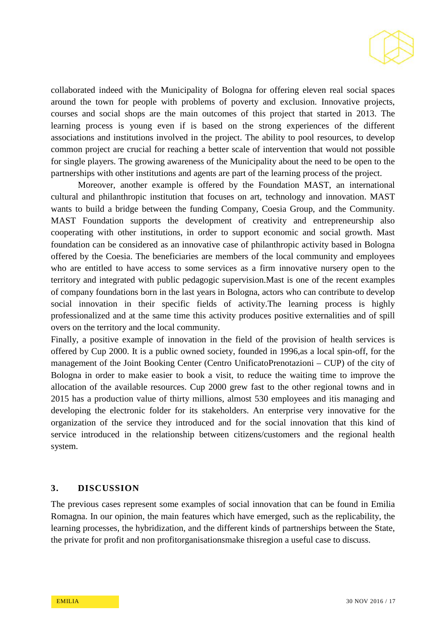

collaborated indeed with the Municipality of Bologna for offering eleven real social spaces around the town for people with problems of poverty and exclusion. Innovative projects, courses and social shops are the main outcomes of this project that started in 2013. The learning process is young even if is based on the strong experiences of the different associations and institutions involved in the project. The ability to pool resources, to develop common project are crucial for reaching a better scale of intervention that would not possible for single players. The growing awareness of the Municipality about the need to be open to the partnerships with other institutions and agents are part of the learning process of the project.

Moreover, another example is offered by the Foundation MAST, an international cultural and philanthropic institution that focuses on art, technology and innovation. MAST wants to build a bridge between the funding Company, Coesia Group, and the Community. MAST Foundation supports the development of creativity and entrepreneurship also cooperating with other institutions, in order to support economic and social growth. Mast foundation can be considered as an innovative case of philanthropic activity based in Bologna offered by the Coesia. The beneficiaries are members of the local community and employees who are entitled to have access to some services as a firm innovative nursery open to the territory and integrated with public pedagogic supervision.Mast is one of the recent examples of company foundations born in the last years in Bologna, actors who can contribute to develop social innovation in their specific fields of activity.The learning process is highly professionalized and at the same time this activity produces positive externalities and of spill overs on the territory and the local community.

Finally, a positive example of innovation in the field of the provision of health services is offered by Cup 2000. It is a public owned society, founded in 1996,as a local spin-off, for the management of the Joint Booking Center (Centro UnificatoPrenotazioni – CUP) of the city of Bologna in order to make easier to book a visit, to reduce the waiting time to improve the allocation of the available resources. Cup 2000 grew fast to the other regional towns and in 2015 has a production value of thirty millions, almost 530 employees and itis managing and developing the electronic folder for its stakeholders. An enterprise very innovative for the organization of the service they introduced and for the social innovation that this kind of service introduced in the relationship between citizens/customers and the regional health system.

#### **3. DISCUSSION**

The previous cases represent some examples of social innovation that can be found in Emilia Romagna. In our opinion, the main features which have emerged, such as the replicability, the learning processes, the hybridization, and the different kinds of partnerships between the State, the private for profit and non profitorganisationsmake thisregion a useful case to discuss.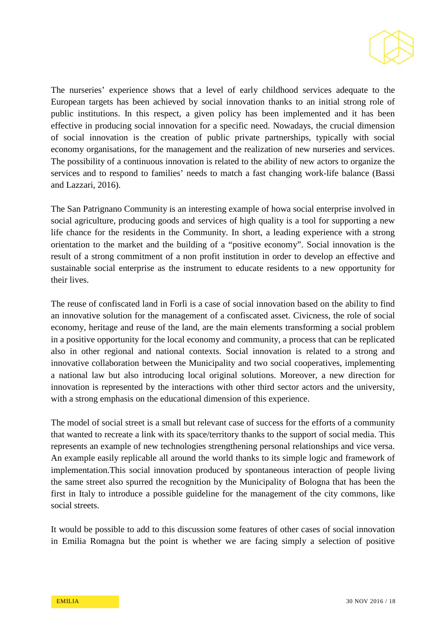

The nurseries' experience shows that a level of early childhood services adequate to the European targets has been achieved by social innovation thanks to an initial strong role of public institutions. In this respect, a given policy has been implemented and it has been effective in producing social innovation for a specific need. Nowadays, the crucial dimension of social innovation is the creation of public private partnerships, typically with social economy organisations, for the management and the realization of new nurseries and services. The possibility of a continuous innovation is related to the ability of new actors to organize the services and to respond to families' needs to match a fast changing work-life balance (Bassi and Lazzari, 2016).

The San Patrignano Community is an interesting example of howa social enterprise involved in social agriculture, producing goods and services of high quality is a tool for supporting a new life chance for the residents in the Community. In short, a leading experience with a strong orientation to the market and the building of a "positive economy". Social innovation is the result of a strong commitment of a non profit institution in order to develop an effective and sustainable social enterprise as the instrument to educate residents to a new opportunity for their lives.

The reuse of confiscated land in Forlì is a case of social innovation based on the ability to find an innovative solution for the management of a confiscated asset. Civicness, the role of social economy, heritage and reuse of the land, are the main elements transforming a social problem in a positive opportunity for the local economy and community, a process that can be replicated also in other regional and national contexts. Social innovation is related to a strong and innovative collaboration between the Municipality and two social cooperatives, implementing a national law but also introducing local original solutions. Moreover, a new direction for innovation is represented by the interactions with other third sector actors and the university, with a strong emphasis on the educational dimension of this experience.

The model of social street is a small but relevant case of success for the efforts of a community that wanted to recreate a link with its space/territory thanks to the support of social media. This represents an example of new technologies strengthening personal relationships and vice versa. An example easily replicable all around the world thanks to its simple logic and framework of implementation.This social innovation produced by spontaneous interaction of people living the same street also spurred the recognition by the Municipality of Bologna that has been the first in Italy to introduce a possible guideline for the management of the city commons, like social streets.

It would be possible to add to this discussion some features of other cases of social innovation in Emilia Romagna but the point is whether we are facing simply a selection of positive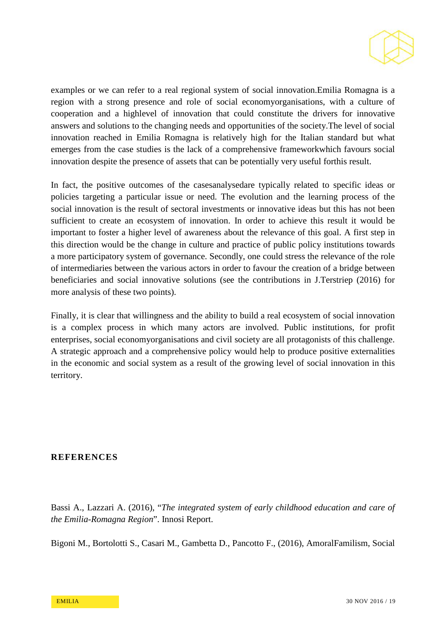

examples or we can refer to a real regional system of social innovation.Emilia Romagna is a region with a strong presence and role of social economyorganisations, with a culture of cooperation and a highlevel of innovation that could constitute the drivers for innovative answers and solutions to the changing needs and opportunities of the society.The level of social innovation reached in Emilia Romagna is relatively high for the Italian standard but what emerges from the case studies is the lack of a comprehensive frameworkwhich favours social innovation despite the presence of assets that can be potentially very useful forthis result.

In fact, the positive outcomes of the casesanalysedare typically related to specific ideas or policies targeting a particular issue or need. The evolution and the learning process of the social innovation is the result of sectoral investments or innovative ideas but this has not been sufficient to create an ecosystem of innovation. In order to achieve this result it would be important to foster a higher level of awareness about the relevance of this goal. A first step in this direction would be the change in culture and practice of public policy institutions towards a more participatory system of governance. Secondly, one could stress the relevance of the role of intermediaries between the various actors in order to favour the creation of a bridge between beneficiaries and social innovative solutions (see the contributions in J.Terstriep (2016) for more analysis of these two points).

Finally, it is clear that willingness and the ability to build a real ecosystem of social innovation is a complex process in which many actors are involved. Public institutions, for profit enterprises, social economyorganisations and civil society are all protagonists of this challenge. A strategic approach and a comprehensive policy would help to produce positive externalities in the economic and social system as a result of the growing level of social innovation in this territory.

## **REFERENCES**

Bassi A., Lazzari A. (2016), "*The integrated system of early childhood education and care of the Emilia-Romagna Region*". Innosi Report.

Bigoni M., Bortolotti S., Casari M., Gambetta D., Pancotto F., (2016), AmoralFamilism, Social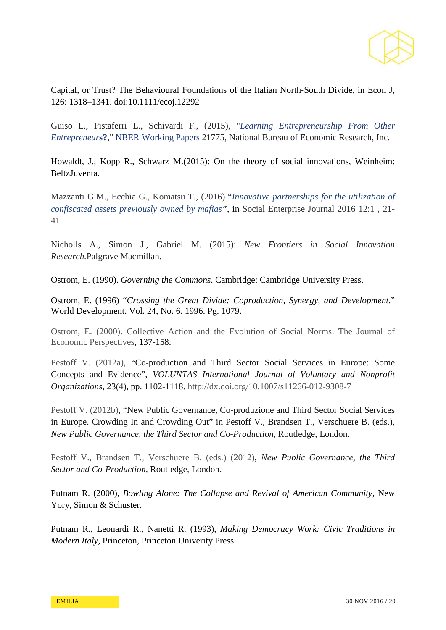

Capital, or Trust? The Behavioural Foundations of the Italian North-South Divide, in Econ J, 126: 1318–1341. doi:10.1111/ecoj.12292

Guiso L., Pistaferri L., Schivardi F., (2015), "*[Learning Entrepreneurship From Other](https://ideas.repec.org/p/nbr/nberwo/21775.html)  [Entrepreneur](https://ideas.repec.org/p/nbr/nberwo/21775.html)***s?**," [NBER Working Papers](https://ideas.repec.org/s/nbr/nberwo.html) 21775, National Bureau of Economic Research, Inc.

Howaldt, J., Kopp R., Schwarz M.(2015): On the theory of social innovations, Weinheim: BeltzJuventa.

Mazzanti G.M., Ecchia G., Komatsu T., (2016) "*[Innovative partnerships for the utilization of](http://www.emeraldinsight.com/doi/abs/10.1108/SEJ-08-2015-0019)  [confiscated assets previously owned by mafias"](http://www.emeraldinsight.com/doi/abs/10.1108/SEJ-08-2015-0019)*, in Social Enterprise Journal 2016 12:1 , 21- 41.

Nicholls A., Simon J., Gabriel M. (2015): *New Frontiers in Social Innovation Research.*Palgrave Macmillan.

Ostrom, E. (1990). *Governing the Commons*. Cambridge: Cambridge University Press.

Ostrom, E. (1996) "*Crossing the Great Divide: Coproduction, Synergy, and Development*." World Development. Vol. 24, No. 6. 1996. Pg. 1079.

Ostrom, E. (2000). Collective Action and the Evolution of Social Norms. The Journal of Economic Perspectives, 137-158.

Pestoff V. (2012a), "Co-production and Third Sector Social Services in Europe: Some Concepts and Evidence", *VOLUNTAS International Journal of Voluntary and Nonprofit Organizations*, 23(4), pp. 1102-1118.<http://dx.doi.org/10.1007/s11266-012-9308-7>

Pestoff V. (2012b), "New Public Governance, Co-produzione and Third Sector Social Services in Europe. Crowding In and Crowding Out" in Pestoff V., Brandsen T., Verschuere B. (eds.), *New Public Governance, the Third Sector and Co-Production*, Routledge, London.

Pestoff V., Brandsen T., Verschuere B. (eds.) (2012), *New Public Governance, the Third Sector and Co-Production*, Routledge, London.

Putnam R. (2000), *Bowling Alone: The Collapse and Revival of American Community*, New Yory, Simon & Schuster.

Putnam R., Leonardi R., Nanetti R. (1993), *Making Democracy Work: Civic Traditions in Modern Italy*, Princeton, Princeton Univerity Press.